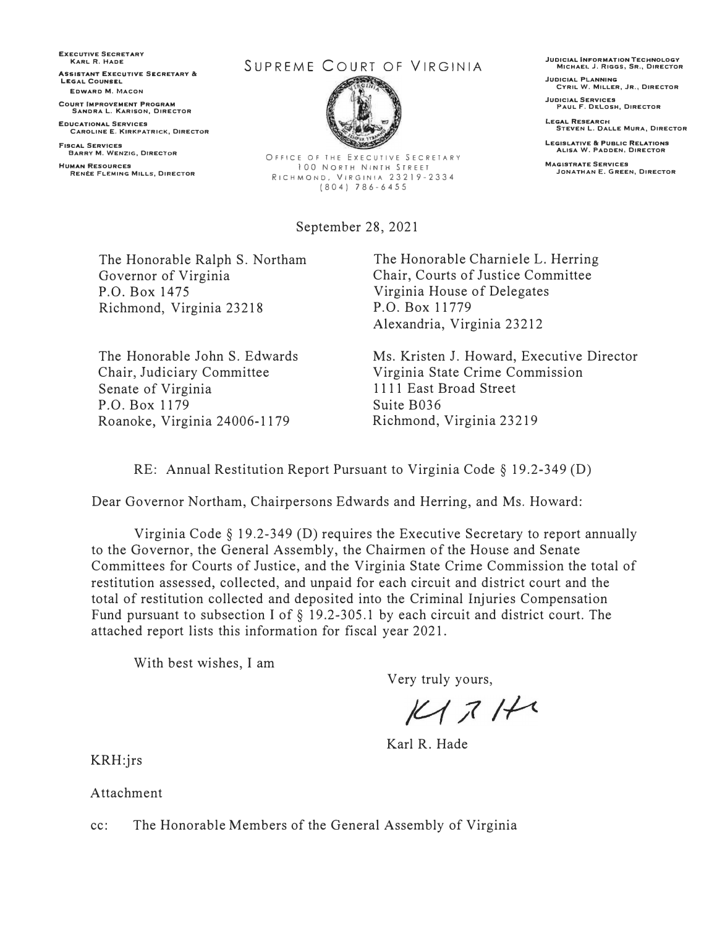**EXECUTIVE SECRETARY KARL R. HADE SSISTANT EXECUTIVE SECRETARY & LEGAL COUNSEL EDWARD M. MACON** 

**COURT IMPROVEMENT PROGRAM SANDRA L. KARISON, DIRECTOR** 

**EDUCATIONAL SERVICES CAROLINE E. KIRKPATRICK, DIRECTOR** 

**FISCAL SERVICES BARRY M. WENZIG, DIRECTOR HUMAN RESOURCES** 

**REN'TESOURCES**<br>RENÉE FLEMING MILLS, DIRECTOR

## SUPREME COURT OF VIRGINIA



OFFICE OF THE EXECUTIVE SECRETARY 100 NORTH NINTH STREET RICHMOND, VIRGINIA 23219-2334 (804) 786-6455

September 28, 2021

**JUDICIAL INFORMATION TECHNOLOGY MICHAEL J. RIGGS, SR., DIRECTOR** 

**JUDICIAL PLANNING CYRIL W. MILLER, JR., DIRECTOR** 

**JUDICIAL SERVICES PAUL F. D�LOSH, DIRECTOR** 

**LEGAL RESEARCH STEVEN L. DALLE MURA, DIRECTOR** 

**LEGISLATIVE & PUBLIC RELATIONS ALISA W. PADDEN, DIRECTOR MAGISTRATE SERVICES** 

**JONATHAN E. GREEN, DIRECTOR** 

The Honorable Ralph S. Northam Governor of Virginia P.O. Box 1475 Richmond, Virginia 23218

The Honorable John S. Edwards Chair, Judiciary Committee Senate of Virginia P.O. Box 1179 Roanoke, Virginia 24006-1179

The Honorable Charniele L. Herring Chair, Courts of Justice Committee Virginia House of Delegates P.O. Box 11779 Alexandria, Virginia 23212

Ms. Kristen J. Howard, Executive Director Virginia State Crime Commission 1111 East Broad Street Suite B036 Richmond, Virginia 23219

RE: Annual Restitution Report Pursuant to Virginia Code§ 19.2-349 (D)

Dear Governor Northam, Chairpersons Edwards and Herring, and Ms. Howard:

Virginia Code  $\S$  19.2-349 (D) requires the Executive Secretary to report annually to the Governor, the General Assembly, the Chairmen of the House and Senate Committees for Courts of Justice, and the Virginia State Crime Commission the total of restitution assessed, collected, and unpaid for each circuit and district court and the total of restitution collected and deposited into the Criminal Injuries Compensation Fund pursuant to subsection I of  $\S$  19.2-305.1 by each circuit and district court. The attached report lists this information for fiscal year 2021.

With best wishes, I am

Very truly yours,

 $K1711$ 

Karl R. Hade

KRH:jrs

Attachment

cc: The Honorable Members of the General Assembly of Virginia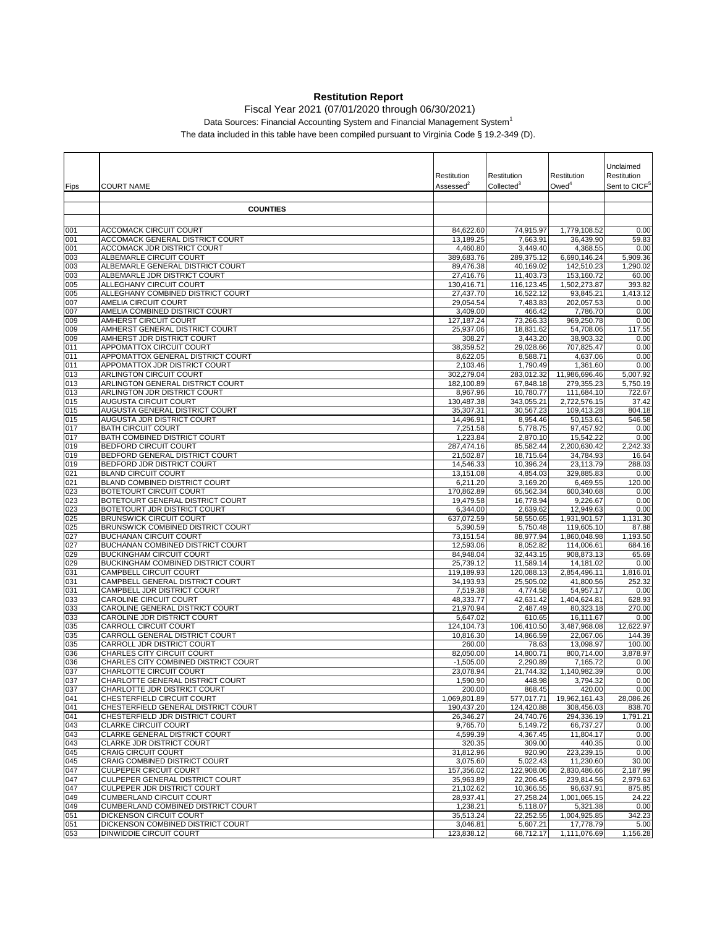## **Restitution Report**

Fiscal Year 2021 (07/01/2020 through 06/30/2021)

Data Sources: Financial Accounting System and Financial Management System<sup>1</sup>

The data included in this table have been compiled pursuant to Virginia Code § 19.2-349 (D).

|            |                                                                           |                          |                         |                            | Unclaimed                 |
|------------|---------------------------------------------------------------------------|--------------------------|-------------------------|----------------------------|---------------------------|
|            |                                                                           | Restitution              | Restitution             | Restitution                | Restitution               |
| Fips       | <b>COURT NAME</b>                                                         | Assessed <sup>2</sup>    | Collected <sup>3</sup>  | Owed <sup>4</sup>          | Sent to CICF <sup>5</sup> |
|            |                                                                           |                          |                         |                            |                           |
|            | <b>COUNTIES</b>                                                           |                          |                         |                            |                           |
|            |                                                                           |                          |                         |                            |                           |
| 001<br>001 | <b>ACCOMACK CIRCUIT COURT</b><br>ACCOMACK GENERAL DISTRICT COURT          | 84,622.60<br>13,189.25   | 74,915.97<br>7,663.91   | 1,779,108.52<br>36,439.90  | 0.00<br>59.83             |
| 001        | ACCOMACK JDR DISTRICT COURT                                               | 4,460.80                 | 3,449.40                | 4,368.55                   | 0.00                      |
| 003        | ALBEMARLE CIRCUIT COURT                                                   | 389,683.76               | 289,375.12              | 6,690,146.24               | 5,909.36                  |
| 003        | ALBEMARLE GENERAL DISTRICT COURT                                          | 89,476.38                | 40,169.02               | 142,510.23                 | 1,290.02                  |
| 003        | ALBEMARLE JDR DISTRICT COURT                                              | 27,416.76                | 11,403.73               | 153,160.72                 | 60.00                     |
| 005<br>005 | ALLEGHANY CIRCUIT COURT<br>ALLEGHANY COMBINED DISTRICT COURT              | 130,416.71<br>27,437.70  | 116,123.45<br>16,522.12 | 1,502,273.87<br>93,845.21  | 393.82<br>1,413.12        |
| 007        | AMELIA CIRCUIT COURT                                                      | 29,054.54                | 7,483.83                | 202,057.53                 | 0.00                      |
| 007        | AMELIA COMBINED DISTRICT COURT                                            | 3,409.00                 | 466.42                  | 7,786.70                   | 0.00                      |
| 009        | AMHERST CIRCUIT COURT                                                     | 127, 187. 24             | 73,266.33               | 969,250.78                 | 0.00                      |
| 009        | AMHERST GENERAL DISTRICT COURT<br>AMHERST JDR DISTRICT COURT              | 25,937.06                | 18,831.62               | 54,708.06                  | 117.55                    |
| 009<br>011 | APPOMATTOX CIRCUIT COURT                                                  | 308.27<br>38,359.52      | 3,443.20<br>29,028.66   | 38,903.32<br>707,825.47    | 0.00<br>0.00              |
| 011        | APPOMATTOX GENERAL DISTRICT COURT                                         | 8,622.05                 | 8,588.71                | 4,637.06                   | 0.00                      |
| 011        | APPOMATTOX JDR DISTRICT COURT                                             | 2,103.46                 | 1,790.49                | 1,361.60                   | 0.00                      |
| 013        | <b>ARLINGTON CIRCUIT COURT</b>                                            | 302,279.04               | 283,012.32              | 11,986,696.46              | 5,007.92                  |
| 013        | ARLINGTON GENERAL DISTRICT COURT                                          | 182,100.89               | 67,848.18<br>10.780.77  | 279,355.23                 | 5,750.19                  |
| 013<br>015 | ARLINGTON JDR DISTRICT COURT<br>AUGUSTA CIRCUIT COURT                     | 8,967.96<br>130,487.38   | 343,055.21              | 111,684.10<br>2,722,576.15 | 722.67<br>37.42           |
| 015        | AUGUSTA GENERAL DISTRICT COURT                                            | 35,307.31                | 30,567.23               | 109,413.28                 | 804.18                    |
| 015        | AUGUSTA JDR DISTRICT COURT                                                | 14,496.91                | 8,954.46                | 50,153.61                  | 546.58                    |
| 017        | <b>BATH CIRCUIT COURT</b>                                                 | 7,251.58                 | 5,778.75                | 97,457.92                  | 0.00                      |
| 017        | BATH COMBINED DISTRICT COURT                                              | 1,223.84                 | 2,870.10                | 15,542.22                  | 0.00                      |
| 019<br>019 | <b>BEDFORD CIRCUIT COURT</b><br>BEDFORD GENERAL DISTRICT COURT            | 287,474.16<br>21,502.87  | 85,582.44<br>18,715.64  | 2,200,630.42<br>34,784.93  | 2,242.33<br>16.64         |
| 019        | BEDFORD JDR DISTRICT COURT                                                | 14,546.33                | 10,396.24               | 23,113.79                  | 288.03                    |
| 021        | <b>BLAND CIRCUIT COURT</b>                                                | 13,151.08                | 4,854.03                | 329,885.83                 | 0.00                      |
| 021        | BLAND COMBINED DISTRICT COURT                                             | 6,211.20                 | 3,169.20                | 6.469.55                   | 120.00                    |
| 023        | <b>BOTETOURT CIRCUIT COURT</b>                                            | 170,862.89               | 65,562.34               | 600,340.68                 | 0.00                      |
| 023<br>023 | BOTETOURT GENERAL DISTRICT COURT<br>BOTETOURT JDR DISTRICT COURT          | 19,479.58<br>6,344.00    | 16,778.94<br>2,639.62   | 9,226.67<br>12,949.63      | 0.00<br>0.00              |
| 025        | <b>BRUNSWICK CIRCUIT COURT</b>                                            | 637,072.59               | 58,550.65               | 1,931,901.57               | 1,131.30                  |
| 025        | BRUNSWICK COMBINED DISTRICT COURT                                         | 5,390.59                 | 5,750.48                | 119,605.10                 | 87.88                     |
| 027        | <b>BUCHANAN CIRCUIT COURT</b>                                             | 73,151.54                | 88,977.94               | 1,860,048.98               | 1,193.50                  |
| 027        | BUCHANAN COMBINED DISTRICT COURT<br><b>BUCKINGHAM CIRCUIT COURT</b>       | 12,593.06<br>84,948.04   | 8,052.82<br>32,443.15   | 114,006.61<br>908,873.13   | 684.16<br>65.69           |
| 029<br>029 | BUCKINGHAM COMBINED DISTRICT COURT                                        | 25,739.12                | 11,589.14               | 14,181.02                  | 0.00                      |
| 031        | CAMPBELL CIRCUIT COURT                                                    | 119,189.93               | 120,088.13              | 2,854,496.11               | 1,816.01                  |
| 031        | CAMPBELL GENERAL DISTRICT COURT                                           | 34,193.93                | 25,505.02               | 41,800.56                  | 252.32                    |
| 031        | CAMPBELL JDR DISTRICT COURT                                               | 7,519.38                 | 4,774.58                | 54,957.17                  | 0.00                      |
| 033<br>033 | CAROLINE CIRCUIT COURT<br>CAROLINE GENERAL DISTRICT COURT                 | 48,333.77<br>21,970.94   | 42,631.42<br>2,487.49   | 1,404,624.81<br>80,323.18  | 628.93<br>270.00          |
| 033        | CAROLINE JDR DISTRICT COURT                                               | 5,647.02                 | 610.65                  | 16,111.67                  | 0.00                      |
| 035        | <b>CARROLL CIRCUIT COURT</b>                                              | 124,104.73               | 106,410.50              | 3,487,968.08               | 12,622.97                 |
| 035        | CARROLL GENERAL DISTRICT COURT                                            | 10,816.30                | 14,866.59               | 22,067.06                  | 144.39                    |
| 035        | CARROLL JDR DISTRICT COURT                                                | 260.00                   | 78.63                   | 13,098.97                  | 100.00                    |
| 036<br>036 | <b>CHARLES CITY CIRCUIT COURT</b><br>CHARLES CITY COMBINED DISTRICT COURT | 82,050.00<br>$-1,505.00$ | 14,800.71<br>2,290.89   | 800,714.00<br>7,165.72     | 3,878.97<br>0.00          |
| 037        | CHARLOTTE CIRCUIT COURT                                                   | 23,078.94                | 21,744.32               | 1,140,982.39               | 0.00                      |
| 037        | CHARLOTTE GENERAL DISTRICT COURT                                          | 1,590.90                 | 448.98                  | 3,794.32                   | 0.00                      |
| 037        | CHARLOTTE JDR DISTRICT COURT                                              | 200.00                   | 868.45                  | 420.00                     | 0.00                      |
| 041        | CHESTERFIELD CIRCUIT COURT                                                | 1,069,801.89             | 577,017.71              | 19,962,161.43              | 28,086.26                 |
| 041<br>041 | CHESTERFIELD GENERAL DISTRICT COURT<br>CHESTERFIELD JDR DISTRICT COURT    | 190,437.20<br>26,346.27  | 124,420.88<br>24,740.76 | 308,456.03<br>294,336.19   | 838.70<br>1,791.21        |
| 043        | <b>CLARKE CIRCUIT COURT</b>                                               | 9,765.70                 | 5,149.72                | 66,737.27                  | 0.00                      |
| 043        | CLARKE GENERAL DISTRICT COURT                                             | 4,599.39                 | 4,367.45                | 11,804.17                  | 0.00                      |
| 043        | CLARKE JDR DISTRICT COURT                                                 | 320.35                   | 309.00                  | 440.35                     | 0.00                      |
| 045        | <b>CRAIG CIRCUIT COURT</b>                                                | 31,812.96                | 920.90                  | 223,239.15                 | 0.00                      |
| 045<br>047 | CRAIG COMBINED DISTRICT COURT<br><b>CULPEPER CIRCUIT COURT</b>            | 3,075.60<br>157,356.02   | 5,022.43<br>122,908.06  | 11,230.60<br>2,830,486.66  | 30.00<br>2,187.99         |
| 047        | CULPEPER GENERAL DISTRICT COURT                                           | 35,963.89                | 22,206.45               | 239,814.56                 | 2,979.63                  |
| 047        | CULPEPER JDR DISTRICT COURT                                               | 21,102.62                | 10,366.55               | 96,637.91                  | 875.85                    |
| 049        | <b>CUMBERLAND CIRCUIT COURT</b>                                           | 28,937.41                | 27,258.24               | 1,001,065.15               | 24.22                     |
| 049        | CUMBERLAND COMBINED DISTRICT COURT                                        | 1,238.21                 | 5,118.07                | 5,321.38                   | 0.00                      |
| 051<br>051 | <b>DICKENSON CIRCUIT COURT</b><br>DICKENSON COMBINED DISTRICT COURT       | 35,513.24<br>3,046.81    | 22,252.55<br>5,607.21   | 1,004,925.85<br>17,778.79  | 342.23<br>5.00            |
| 053        | DINWIDDIE CIRCUIT COURT                                                   | 123,838.12               | 68,712.17               | 1,111,076.69               | 1,156.28                  |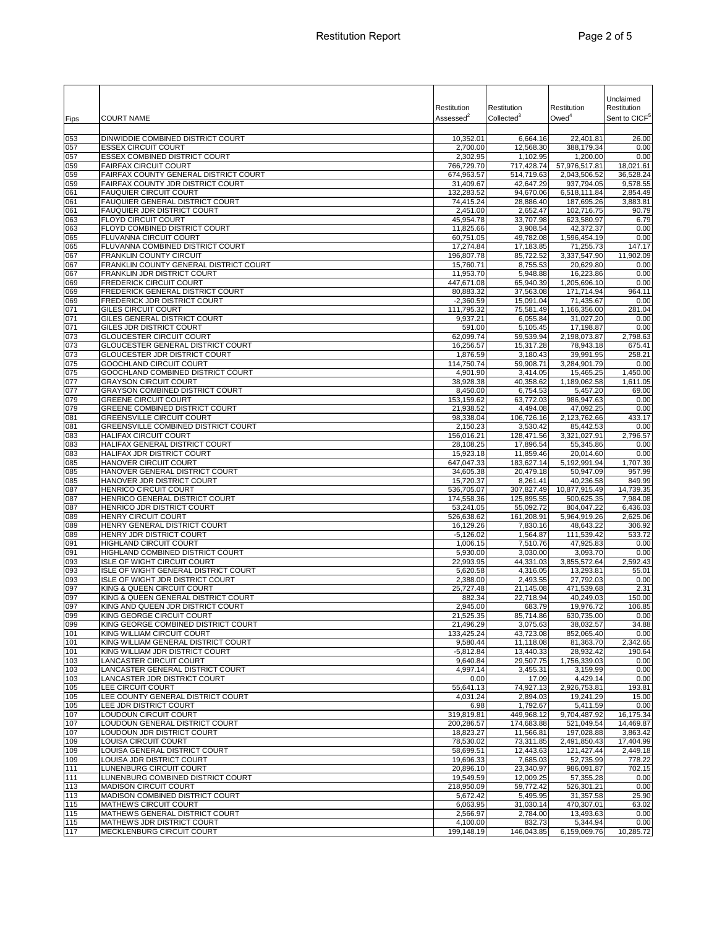|            |                                                                          | Restitution              | Restitution             | Restitution<br>$Owed^4$    | Unclaimed<br>Restitution  |
|------------|--------------------------------------------------------------------------|--------------------------|-------------------------|----------------------------|---------------------------|
| Fips       | <b>COURT NAME</b>                                                        | Assessed <sup>2</sup>    | Collected <sup>3</sup>  |                            | Sent to CICF <sup>5</sup> |
| 053        | DINWIDDIE COMBINED DISTRICT COURT                                        | 10,352.01                | 6,664.16                | 22,401.81                  | 26.00                     |
| 057<br>057 | <b>ESSEX CIRCUIT COURT</b><br><b>ESSEX COMBINED DISTRICT COURT</b>       | 2,700.00<br>2,302.95     | 12,568.30<br>1,102.95   | 388,179.34<br>1,200.00     | 0.00<br>0.00              |
| 059        | <b>FAIRFAX CIRCUIT COURT</b>                                             | 766,729.70               | 717,428.74              | 57,976,517.81              | 18,021.61                 |
| 059        | FAIRFAX COUNTY GENERAL DISTRICT COURT                                    | 674,963.57               | 514,719.63              | 2,043,506.52               | 36,528.24                 |
| 059<br>061 | FAIRFAX COUNTY JDR DISTRICT COURT<br><b>FAUQUIER CIRCUIT COURT</b>       | 31,409.67<br>132,283.52  | 42,647.29<br>94,670.06  | 937,794.05<br>6,518,111.84 | 9,578.55<br>2,854.49      |
| 061        | FAUQUIER GENERAL DISTRICT COURT                                          | 74,415.24                | 28,886.40               | 187,695.26                 | 3,883.81                  |
| 061        | FAUQUIER JDR DISTRICT COURT                                              | 2,451.00                 | 2,652.47                | 102,716.75                 | 90.79                     |
| 063<br>063 | <b>FLOYD CIRCUIT COURT</b><br>FLOYD COMBINED DISTRICT COURT              | 45,954.78<br>11,825.66   | 33,707.98<br>3,908.54   | 623,580.97<br>42,372.37    | 6.79<br>0.00              |
| 065        | FLUVANNA CIRCUIT COURT                                                   | 60,751.05                | 49,782.08               | 1,596,454.19               | 0.00                      |
| 065        | FLUVANNA COMBINED DISTRICT COURT                                         | 17,274.84                | 17,183.85               | 71,255.73                  | 147.17                    |
| 067<br>067 | <b>FRANKLIN COUNTY CIRCUIT</b><br>FRANKLIN COUNTY GENERAL DISTRICT COURT | 196,807.78<br>15,760.71  | 85,722.52<br>8,755.53   | 3.337.547.90<br>20,629.80  | 11,902.09<br>0.00         |
| 067        | FRANKLIN JDR DISTRICT COURT                                              | 11,953.70                | 5,948.88                | 16,223.86                  | 0.00                      |
| 069        | <b>FREDERICK CIRCUIT COURT</b>                                           | 447,671.08               | 65,940.39               | 1,205,696.10               | 0.00                      |
| 069<br>069 | FREDERICK GENERAL DISTRICT COURT<br>FREDERICK JDR DISTRICT COURT         | 80,883.32<br>$-2,360.59$ | 37,563.08<br>15,091.04  | 171,714.94<br>71,435.67    | 964.11<br>0.00            |
| 071        | <b>GILES CIRCUIT COURT</b>                                               | 111,795.32               | 75,581.49               | 1,166,356.00               | 281.04                    |
| 071        | GILES GENERAL DISTRICT COURT                                             | 9,937.21                 | 6,055.84                | 31,027.20                  | 0.00                      |
| 071<br>073 | GILES JDR DISTRICT COURT<br><b>GLOUCESTER CIRCUIT COURT</b>              | 591.00<br>62,099.74      | 5,105.45<br>59,539.94   | 17,198.87<br>2,198,073.87  | 0.00<br>2,798.63          |
| 073        | GLOUCESTER GENERAL DISTRICT COURT                                        | 16,256.57                | 15,317.28               | 78,943.18                  | 675.41                    |
| 073        | GLOUCESTER JDR DISTRICT COURT                                            | 1,876.59                 | 3,180.43                | 39,991.95                  | 258.21                    |
| 075<br>075 | GOOCHLAND CIRCUIT COURT<br>GOOCHLAND COMBINED DISTRICT COURT             | 114,750.74<br>4,901.90   | 59,908.71<br>3,414.05   | 3,284,901.79<br>15,465.25  | 0.00<br>1,450.00          |
| 077        | <b>GRAYSON CIRCUIT COURT</b>                                             | 38,928.38                | 40.358.62               | 1,189,062.58               | 1,611.05                  |
| 077        | <b>GRAYSON COMBINED DISTRICT COURT</b>                                   | 8,450.00                 | 6,754.53                | 5,457.20                   | 69.00                     |
| 079<br>079 | <b>GREENE CIRCUIT COURT</b><br><b>GREENE COMBINED DISTRICT COURT</b>     | 153.159.62<br>21,938.52  | 63.772.03<br>4.494.08   | 986,947.63<br>47,092.25    | 0.00<br>0.00              |
| 081        | <b>GREENSVILLE CIRCUIT COURT</b>                                         | 98,338.04                | 106,726.16              | 2,123,762.66               | 433.17                    |
| 081        | GREENSVILLE COMBINED DISTRICT COURT                                      | 2,150.23                 | 3,530.42                | 85,442.53                  | 0.00                      |
| 083<br>083 | <b>HALIFAX CIRCUIT COURT</b><br>HALIFAX GENERAL DISTRICT COURT           | 156,016.21<br>28,108.25  | 128,471.56<br>17,896.54 | 3,321,027.91<br>55,345.86  | 2,796.57<br>0.00          |
| 083        | HALIFAX JDR DISTRICT COURT                                               | 15,923.18                | 11,859.46               | 20,014.60                  | 0.00                      |
| 085        | HANOVER CIRCUIT COURT                                                    | 647,047.33               | 183,627.14              | 5,192,991.94               | 1,707.39                  |
| 085<br>085 | HANOVER GENERAL DISTRICT COURT<br>HANOVER JDR DISTRICT COURT             | 34,605.38<br>15,720.37   | 20,479.18<br>8,261.41   | 50,947.09<br>40,236.58     | 957.99<br>849.99          |
| 087        | <b>HENRICO CIRCUIT COURT</b>                                             | 536,705.07               | 307,827.49              | 10,877,915.49              | 14,739.35                 |
| 087        | HENRICO GENERAL DISTRICT COURT                                           | 174,558.36               | 125,895.55              | 500,625.35                 | 7,984.08                  |
| 087<br>089 | HENRICO JDR DISTRICT COURT<br>HENRY CIRCUIT COURT                        | 53,241.05<br>526,638.62  | 55,092.72<br>161,208.91 | 804,047.22<br>5,964,919.26 | 6,436.03<br>2,625.06      |
| 089        | HENRY GENERAL DISTRICT COURT                                             | 16,129.26                | 7,830.16                | 48,643.22                  | 306.92                    |
| 089        | HENRY JDR DISTRICT COURT                                                 | $-5,126.02$              | 1,564.87                | 111,539.42                 | 533.72                    |
| 091<br>091 | <b>HIGHLAND CIRCUIT COURT</b><br>HIGHLAND COMBINED DISTRICT COURT        | 1,006.15<br>5,930.00     | 7,510.76<br>3,030.00    | 47,925.83<br>3,093.70      | 0.00<br>0.00              |
| 093        | ISLE OF WIGHT CIRCUIT COURT                                              | 22,993.95                | 44,331.03               | 3,855,572.64               | 2,592.43                  |
| 093        | ISLE OF WIGHT GENERAL DISTRICT COURT<br>ISLE OF WIGHT JDR DISTRICT COURT | 5,620.58                 | 4,316.05                | 13,293.81                  | 55.01                     |
| 093<br>097 | KING & QUEEN CIRCUIT COURT                                               | 2,388.00<br>25,727.48    | 2,493.55<br>21,145.08   | 27,792.03<br>471,539.68    | 0.00<br>2.31              |
| 097        | KING & QUEEN GENERAL DISTRICT COURT                                      | 882.34                   | 22,718.94               | 40,249.03                  | 150.00                    |
| 097        | KING AND QUEEN JDR DISTRICT COURT                                        | 2.945.00                 | 683.79                  | 19,976.72                  | 106.85                    |
| 099<br>099 | KING GEORGE CIRCUIT COURT<br>KING GEORGE COMBINED DISTRICT COURT         | 21,525.35<br>21,496.29   | 85,714.86<br>3,075.63   | 630,735.00<br>38,032.57    | 0.00<br>34.88             |
| 101        | KING WILLIAM CIRCUIT COURT                                               | 133,425.24               | 43,723.08               | 852,065.40                 | 0.00                      |
| 101<br>101 | KING WILLIAM GENERAL DISTRICT COURT<br>KING WILLIAM JDR DISTRICT COURT   | 9,580.44<br>$-5,812.84$  | 11,118.08<br>13,440.33  | 81,363.70<br>28,932.42     | 2,342.65<br>190.64        |
| 103        | LANCASTER CIRCUIT COURT                                                  | 9,640.84                 | 29,507.75               | 1,756,339.03               | 0.00                      |
| 103        | LANCASTER GENERAL DISTRICT COURT                                         | 4,997.14                 | 3,455.31                | 3,159.99                   | 0.00                      |
| 103        | LANCASTER JDR DISTRICT COURT                                             | 0.00                     | 17.09                   | 4,429.14                   | 0.00                      |
| 105<br>105 | LEE CIRCUIT COURT<br>LEE COUNTY GENERAL DISTRICT COURT                   | 55,641.13<br>4,031.24    | 74,927.13<br>2,894.03   | 2,926,753.81<br>19,241.29  | 193.81<br>15.00           |
| 105        | LEE JDR DISTRICT COURT                                                   | 6.98                     | 1,792.67                | 5,411.59                   | 0.00                      |
| 107        | LOUDOUN CIRCUIT COURT                                                    | 319,819.81               | 449,968.12              | 9,704,487.92               | 16,175.34                 |
| 107<br>107 | LOUDOUN GENERAL DISTRICT COURT<br>LOUDOUN JDR DISTRICT COURT             | 200,286.57<br>18,823.27  | 174,683.88<br>11,566.81 | 521,049.54<br>197,028.88   | 14,469.87<br>3,863.42     |
| 109        | <b>LOUISA CIRCUIT COURT</b>                                              | 78,530.02                | 73,311.85               | 2,491,850.43               | 17,404.99                 |
| 109        | LOUISA GENERAL DISTRICT COURT                                            | 58,699.51                | 12,443.63               | 121,427.44                 | 2,449.18                  |
| 109<br>111 | LOUISA JDR DISTRICT COURT<br>LUNENBURG CIRCUIT COURT                     | 19,696.33<br>20,896.10   | 7,685.03<br>23,340.97   | 52,735.99<br>986,091.87    | 778.22<br>702.15          |
| 111        | LUNENBURG COMBINED DISTRICT COURT                                        | 19,549.59                | 12,009.25               | 57,355.28                  | 0.00                      |
| 113<br>113 | <b>MADISON CIRCUIT COURT</b><br>MADISON COMBINED DISTRICT COURT          | 218,950.09               | 59,772.42<br>5,495.95   | 526,301.21<br>31,357.58    | 0.00                      |
| 115        | MATHEWS CIRCUIT COURT                                                    | 5,672.42<br>6,063.95     | 31,030.14               | 470,307.01                 | 25.90<br>63.02            |
| 115        | MATHEWS GENERAL DISTRICT COURT                                           | 2,566.97                 | 2,784.00                | 13,493.63                  | 0.00                      |
| 115<br>117 | MATHEWS JDR DISTRICT COURT<br>MECKLENBURG CIRCUIT COURT                  | 4,100.00<br>199,148.19   | 832.73<br>146,043.85    | 5,344.94<br>6,159,069.76   | 0.00<br>10,285.72         |
|            |                                                                          |                          |                         |                            |                           |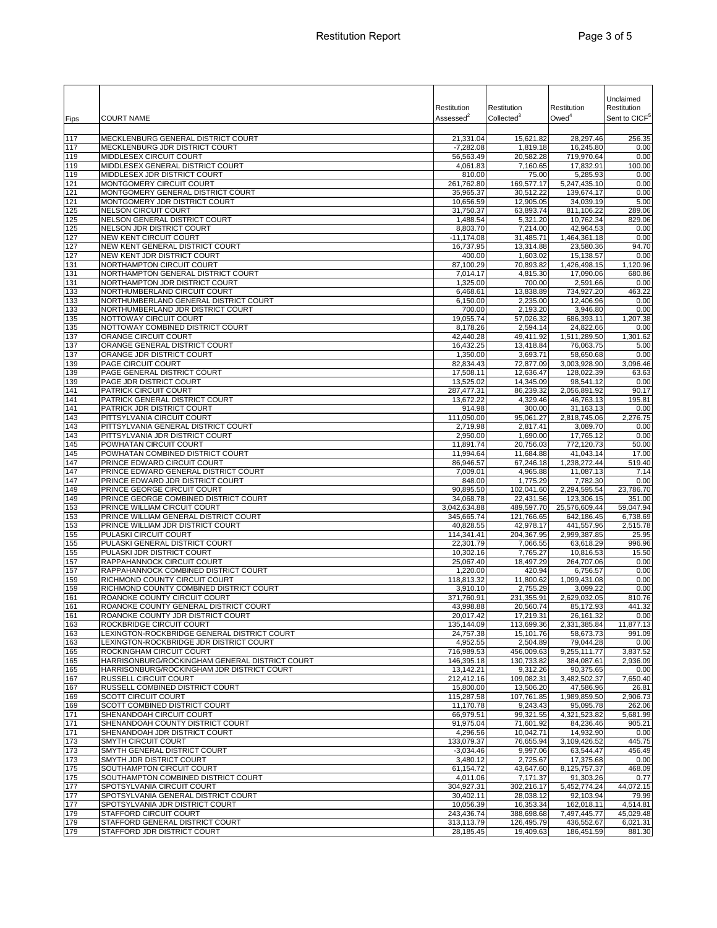| Fips       | <b>COURT NAME</b>                                                          | Restitution<br>Assessed <sup>2</sup> | Restitution<br>Collected <sup>3</sup> | Restitution<br>$Owed^4$    | Unclaimed<br>Restitution<br>Sent to CICF <sup>5</sup> |
|------------|----------------------------------------------------------------------------|--------------------------------------|---------------------------------------|----------------------------|-------------------------------------------------------|
|            |                                                                            |                                      |                                       |                            |                                                       |
| 117<br>117 | MECKLENBURG GENERAL DISTRICT COURT<br>MECKLENBURG JDR DISTRICT COURT       | 21,331.04<br>$-7,282.08$             | 15,621.82<br>1,819.18                 | 28,297.46<br>16,245.80     | 256.35<br>0.00                                        |
| 119        | MIDDLESEX CIRCUIT COURT                                                    | 56,563.49                            | 20,582.28                             | 719,970.64                 | 0.00                                                  |
| 119        | MIDDLESEX GENERAL DISTRICT COURT                                           | 4,061.83                             | 7,160.65                              | 17,832.91                  | 100.00                                                |
| 119        | MIDDLESEX JDR DISTRICT COURT                                               | 810.00                               | 75.00                                 | 5,285.93                   | 0.00                                                  |
| 121        | MONTGOMERY CIRCUIT COURT                                                   | 261,762.80                           | 169,577.17                            | 5,247,435.10               | 0.00                                                  |
| 121        | MONTGOMERY GENERAL DISTRICT COURT<br>MONTGOMERY JDR DISTRICT COURT         | 35,965.37                            | 30,512.22                             | 139,674.17<br>34,039.19    | 0.00                                                  |
| 121<br>125 | <b>NELSON CIRCUIT COURT</b>                                                | 10,656.59<br>31,750.37               | 12,905.05<br>63,893.74                | 811,106.22                 | 5.00<br>289.06                                        |
| 125        | NELSON GENERAL DISTRICT COURT                                              | 1,488.54                             | 5,321.20                              | 10,762.34                  | 829.06                                                |
| 125        | NELSON JDR DISTRICT COURT                                                  | 8,803.70                             | 7,214.00                              | 42,964.53                  | 0.00                                                  |
| 127        | <b>NEW KENT CIRCUIT COURT</b>                                              | $-11,174.08$                         | 31,485.71                             | 1,464,361.18               | 0.00                                                  |
| 127<br>127 | NEW KENT GENERAL DISTRICT COURT<br>NEW KENT JDR DISTRICT COURT             | 16,737.95<br>400.00                  | 13,314.88<br>1,603.02                 | 23,580.36                  | 94.70<br>0.00                                         |
| 131        | NORTHAMPTON CIRCUIT COURT                                                  | 87,100.29                            | 70,893.82                             | 15,138.57<br>1,426,498.15  | 1,120.96                                              |
| 131        | NORTHAMPTON GENERAL DISTRICT COURT                                         | 7,014.17                             | 4,815.30                              | 17,090.06                  | 680.86                                                |
| 131        | NORTHAMPTON JDR DISTRICT COURT                                             | 1,325.00                             | 700.00                                | 2,591.66                   | 0.00                                                  |
| 133        | NORTHUMBERLAND CIRCUIT COURT                                               | 6,468.61                             | 13,838.89                             | 734,927.20                 | 463.22                                                |
| 133        | NORTHUMBERLAND GENERAL DISTRICT COURT<br>NORTHUMBERLAND JDR DISTRICT COURT | 6,150.00                             | 2,235.00                              | 12,406.96                  | 0.00<br>0.00                                          |
| 133<br>135 | NOTTOWAY CIRCUIT COURT                                                     | 700.00<br>19,055.74                  | 2,193.20<br>57,026.32                 | 3,946.80<br>686,393.11     | 1,207.38                                              |
| 135        | NOTTOWAY COMBINED DISTRICT COURT                                           | 8.178.26                             | 2,594.14                              | 24,822.66                  | 0.00                                                  |
| 137        | ORANGE CIRCUIT COURT                                                       | 42,440.28                            | 49,411.92                             | 1,511,289.50               | 1,301.62                                              |
| 137        | ORANGE GENERAL DISTRICT COURT                                              | 16,432.25                            | 13,418.84                             | 76,063.75                  | 5.00                                                  |
| 137        | ORANGE JDR DISTRICT COURT                                                  | 1,350.00                             | 3,693.71                              | 58,650.68<br>3,003,928.90  | 0.00                                                  |
| 139<br>139 | PAGE CIRCUIT COURT<br>PAGE GENERAL DISTRICT COURT                          | 82,834.43<br>17,508.11               | 72,877.09<br>12,636.47                | 128,022.39                 | 3,096.46<br>63.63                                     |
| 139        | PAGE JDR DISTRICT COURT                                                    | 13,525.02                            | 14,345.09                             | 98,541.12                  | 0.00                                                  |
| 141        | PATRICK CIRCUIT COURT                                                      | 287,477.31                           | 86,239.32                             | 2,056,891.92               | 90.17                                                 |
| 141        | PATRICK GENERAL DISTRICT COURT                                             | 13,672.22                            | 4,329.46                              | 46,763.13                  | 195.81                                                |
| 141        | PATRICK JDR DISTRICT COURT                                                 | 914.98                               | 300.00                                | 31,163.13                  | 0.00                                                  |
| 143<br>143 | PITTSYLVANIA CIRCUIT COURT<br>PITTSYLVANIA GENERAL DISTRICT COURT          | 111,050.00<br>2,719.98               | 95,061.27<br>2,817.41                 | 2,818,745.06<br>3,089.70   | 2,276.75<br>0.00                                      |
| 143        | PITTSYLVANIA JDR DISTRICT COURT                                            | 2,950.00                             | 1,690.00                              | 17,765.12                  | 0.00                                                  |
| 145        | POWHATAN CIRCUIT COURT                                                     | 11,891.74                            | 20,756.03                             | 772,120.73                 | 50.00                                                 |
| 145        | POWHATAN COMBINED DISTRICT COURT                                           | 11,994.64                            | 11,684.88                             | 41,043.14                  | 17.00                                                 |
| 147        | PRINCE EDWARD CIRCUIT COURT                                                | 86,946.57                            | 67,246.18                             | 1,238,272.44               | 519.40                                                |
| 147<br>147 | PRINCE EDWARD GENERAL DISTRICT COURT<br>PRINCE EDWARD JDR DISTRICT COURT   | 7,009.01<br>848.00                   | 4,965.88<br>1,775.29                  | 11,087.13<br>7,782.30      | 7.14<br>0.00                                          |
| 149        | PRINCE GEORGE CIRCUIT COURT                                                | 90,895.50                            | 102,041.60                            | 2,294,595.54               | 23,786.70                                             |
| 149        | PRINCE GEORGE COMBINED DISTRICT COURT                                      | 34,068.78                            | 22,431.56                             | 123,306.15                 | 351.00                                                |
| 153        | PRINCE WILLIAM CIRCUIT COURT                                               | 3,042,634.88                         | 489,597.70                            | 25,576,609.44              | 59,047.94                                             |
| 153        | PRINCE WILLIAM GENERAL DISTRICT COURT                                      | 345,665.74                           | 121,766.65                            | 642,186.45                 | 6,738.69                                              |
| 153<br>155 | PRINCE WILLIAM JDR DISTRICT COURT<br>PULASKI CIRCUIT COURT                 | 40,828.55<br>114,341.41              | 42,978.17<br>204,367.95               | 441,557.96<br>2,999,387.85 | 2,515.78<br>25.95                                     |
| 155        | PULASKI GENERAL DISTRICT COURT                                             | 22,301.79                            | 7.066.55                              | 63,618.29                  | 996.96                                                |
| 155        | PULASKI JDR DISTRICT COURT                                                 | 10,302.16                            | 7,765.27                              | 10,816.53                  | 15.50                                                 |
| 157        | RAPPAHANNOCK CIRCUIT COURT                                                 | 25,067.40                            | 18,497.29                             | 264,707.06                 | 0.00                                                  |
| 157        | RAPPAHANNOCK COMBINED DISTRICT COURT                                       | 1,220.00                             | 420.94                                | 6,756.57<br>1,099,431.08   | 0.00                                                  |
| 159<br>159 | RICHMOND COUNTY CIRCUIT COURT<br>RICHMOND COUNTY COMBINED DISTRICT COURT   | 118,813.32<br>3,910.10               | 11,800.62<br>2,755.29                 | 3.099.22                   | 0.00<br>0.00                                          |
| 161        | ROANOKE COUNTY CIRCUIT COURT                                               | 371,760.91                           | 231,355.91                            | 2,629,032.05               | 810.76                                                |
| 161        | ROANOKE COUNTY GENERAL DISTRICT COURT                                      | 43,998.88                            | 20,560.74                             | 85,172.93                  | 441.32                                                |
| 161        | ROANOKE COUNTY JDR DISTRICT COURT                                          | 20,017.42                            | 17,219.31                             | 26,161.32                  | 0.00                                                  |
| 163        | ROCKBRIDGE CIRCUIT COURT<br>LEXINGTON-ROCKBRIDGE GENERAL DISTRICT COURT    | 135,144.09                           | 113,699.36                            | 2,331,385.84               | 11,877.13                                             |
| 163<br>163 | LEXINGTON-ROCKBRIDGE JDR DISTRICT COURT                                    | 24,757.38<br>4,952.55                | 15,101.76<br>2,504.89                 | 58,673.73<br>79,044.28     | 991.09<br>0.00                                        |
| 165        | ROCKINGHAM CIRCUIT COURT                                                   | 716,989.53                           | 456,009.63                            | 9,255,111.77               | 3,837.52                                              |
| 165        | HARRISONBURG/ROCKINGHAM GENERAL DISTRICT COURT                             | 146,395.18                           | 130,733.82                            | 384,087.61                 | 2,936.09                                              |
| 165        | HARRISONBURG/ROCKINGHAM JDR DISTRICT COURT                                 | 13,142.21                            | 9,312.26                              | 90,375.65                  | 0.00                                                  |
| 167<br>167 | RUSSELL CIRCUIT COURT<br>RUSSELL COMBINED DISTRICT COURT                   | 212,412.16<br>15,800.00              | 109,082.31<br>13,506.20               | 3,482,502.37<br>47,586.96  | 7,650.40<br>26.81                                     |
| 169        | <b>SCOTT CIRCUIT COURT</b>                                                 | 115,287.58                           | 107,761.85                            | 1,989,859.50               | 2,906.73                                              |
| 169        | SCOTT COMBINED DISTRICT COURT                                              | 11,170.78                            | 9,243.43                              | 95,095.78                  | 262.06                                                |
| 171        | SHENANDOAH CIRCUIT COURT                                                   | 66,979.51                            | 99,321.55                             | 4,321,523.82               | 5,681.99                                              |
| 171        | SHENANDOAH COUNTY DISTRICT COURT                                           | 91,975.04                            | 71,601.92                             | 84,236.46                  | 905.21                                                |
| 171<br>173 | SHENANDOAH JDR DISTRICT COURT<br><b>SMYTH CIRCUIT COURT</b>                | 4,296.56<br>133,079.37               | 10,042.71<br>76,655.94                | 14,932.90<br>3,109,426.52  | 0.00<br>445.75                                        |
| 173        | SMYTH GENERAL DISTRICT COURT                                               | $-3,034.46$                          | 9,997.06                              | 63,544.47                  | 456.49                                                |
| 173        | SMYTH JDR DISTRICT COURT                                                   | 3,480.12                             | 2,725.67                              | 17,375.68                  | 0.00                                                  |
| 175        | SOUTHAMPTON CIRCUIT COURT                                                  | 61,154.72                            | 43,647.60                             | 8,125,757.37               | 468.09                                                |
| 175        | SOUTHAMPTON COMBINED DISTRICT COURT                                        | 4,011.06                             | 7,171.37                              | 91,303.26                  | 0.77                                                  |
| 177<br>177 | SPOTSYLVANIA CIRCUIT COURT<br>SPOTSYLVANIA GENERAL DISTRICT COURT          | 304,927.31<br>30,402.11              | 302,216.17<br>28,038.12               | 5,452,774.24<br>92,103.94  | 44,072.15<br>79.99                                    |
| 177        | SPOTSYLVANIA JDR DISTRICT COURT                                            | 10,056.39                            | 16,353.34                             | 162,018.11                 | 4,514.81                                              |
| 179        | STAFFORD CIRCUIT COURT                                                     | 243,436.74                           | 388,698.68                            | 7,497,445.77               | 45,029.48                                             |
| 179        | STAFFORD GENERAL DISTRICT COURT                                            | 313,113.79                           | 126,495.79                            | 436,552.67                 | 6,021.31                                              |
| 179        | STAFFORD JDR DISTRICT COURT                                                | 28,185.45                            | 19,409.63                             | 186,451.59                 | 881.30                                                |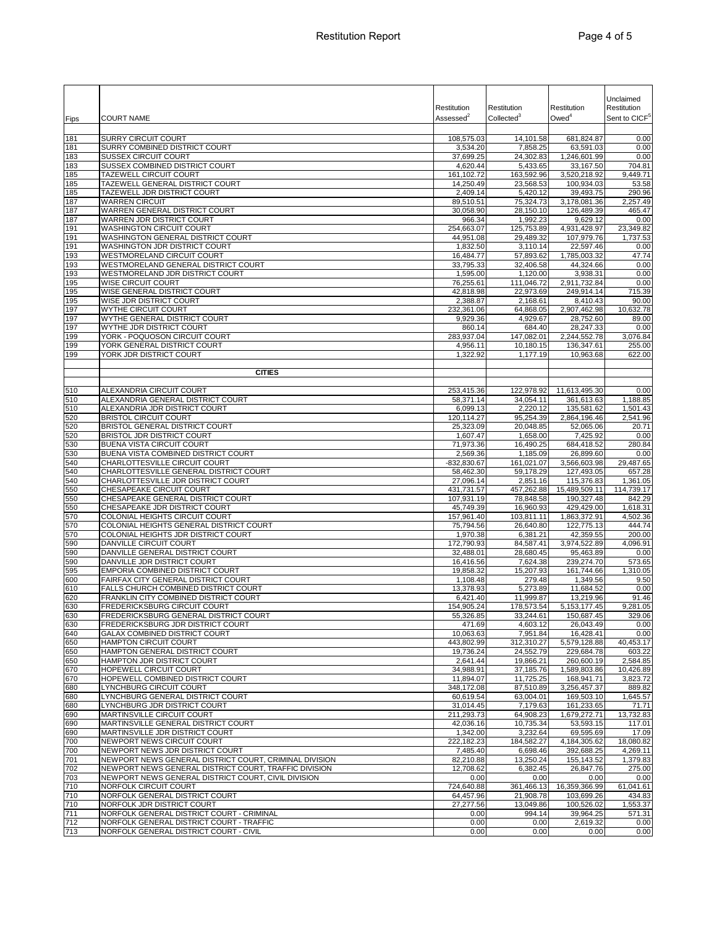|            |                                                                                       | Restitution               | Restitution             | Restitution                 | Unclaimed<br>Restitution  |
|------------|---------------------------------------------------------------------------------------|---------------------------|-------------------------|-----------------------------|---------------------------|
| Fips       | <b>COURT NAME</b>                                                                     | Assessed <sup>2</sup>     | Collected <sup>3</sup>  | Owed <sup>4</sup>           | Sent to CICF <sup>5</sup> |
| 181        | <b>SURRY CIRCUIT COURT</b>                                                            | 108,575.03                | 14,101.58               | 681,824.87                  | 0.00                      |
| 181        | SURRY COMBINED DISTRICT COURT                                                         | 3,534.20                  | 7,858.25                | 63,591.03                   | 0.00                      |
| 183        | SUSSEX CIRCUIT COURT                                                                  | 37,699.25                 | 24,302.83               | 1,246,601.99                | 0.00                      |
| 183<br>185 | SUSSEX COMBINED DISTRICT COURT<br>TAZEWELL CIRCUIT COURT                              | 4,620.44<br>161,102.72    | 5,433.65<br>163,592.96  | 33,167.50<br>3,520,218.92   | 704.81<br>9,449.71        |
| 185        | TAZEWELL GENERAL DISTRICT COURT                                                       | 14,250.49                 | 23,568.53               | 100,934.03                  | 53.58                     |
| 185        | TAZEWELL JDR DISTRICT COURT                                                           | 2,409.14                  | 5,420.12                | 39,493.75                   | 290.96                    |
| 187        | <b>WARREN CIRCUIT</b>                                                                 | 89,510.51                 | 75,324.73               | 3,178,081.36                | 2,257.49                  |
| 187<br>187 | WARREN GENERAL DISTRICT COURT<br>WARREN JDR DISTRICT COURT                            | 30,058.90<br>966.34       | 28,150.10<br>1,992.23   | 126,489.39<br>9,629.12      | 465.47<br>0.00            |
| 191        | <b>WASHINGTON CIRCUIT COURT</b>                                                       | 254,663.07                | 125,753.89              | 4,931,428.97                | 23,349.82                 |
| 191        | WASHINGTON GENERAL DISTRICT COURT                                                     | 44,951.08                 | 29,489.32               | 107,979.76                  | 1,737.53                  |
| 191<br>193 | WASHINGTON JDR DISTRICT COURT<br>WESTMORELAND CIRCUIT COURT                           | 1,832.50<br>16,484.77     | 3,110.14<br>57,893.62   | 22,597.46<br>1,785,003.32   | 0.00<br>47.74             |
| 193        | WESTMORELAND GENERAL DISTRICT COURT                                                   | 33,795.33                 | 32,406.58               | 44,324.66                   | 0.00                      |
| 193        | <b>WESTMORELAND JDR DISTRICT COURT</b>                                                | 1,595.00                  | 1,120.00                | 3,938.31                    | 0.00                      |
| 195        | WISE CIRCUIT COURT                                                                    | 76,255.61                 | 111,046.72              | 2,911,732.84                | 0.00                      |
| 195<br>195 | WISE GENERAL DISTRICT COURT<br>WISE JDR DISTRICT COURT                                | 42,818.98<br>2,388.87     | 22,973.69<br>2,168.61   | 249,914.14<br>8,410.43      | 715.39<br>90.00           |
| 197        | WYTHE CIRCUIT COURT                                                                   | 232,361.06                | 64,868.05               | 2,907,462.98                | 10,632.78                 |
| 197        | WYTHE GENERAL DISTRICT COURT                                                          | 9,929.36                  | 4,929.67                | 28,752.60                   | 89.00                     |
| 197<br>199 | WYTHE JDR DISTRICT COURT<br>YORK - POQUOSON CIRCUIT COURT                             | 860.14<br>283,937.04      | 684.40                  | 28,247.33<br>2,244,552.78   | 0.00<br>3.076.84          |
| 199        | YORK GENERAL DISTRICT COURT                                                           | 4,956.11                  | 147,082.01<br>10,180.15 | 136,347.61                  | 255.00                    |
| 199        | YORK JDR DISTRICT COURT                                                               | 1,322.92                  | 1,177.19                | 10.963.68                   | 622.00                    |
|            | <b>CITIES</b>                                                                         |                           |                         |                             |                           |
|            |                                                                                       |                           |                         |                             |                           |
| 510        | <b>ALEXANDRIA CIRCUIT COURT</b>                                                       | 253,415.36                | 122,978.92              | 11,613,495.30               | 0.00                      |
| 510        | ALEXANDRIA GENERAL DISTRICT COURT                                                     | 58,371.14                 | 34,054.11               | 361,613.63                  | 1,188.85                  |
| 510<br>520 | ALEXANDRIA JDR DISTRICT COURT<br><b>BRISTOL CIRCUIT COURT</b>                         | 6,099.13<br>120,114.27    | 2,220.12<br>95,254.39   | 135,581.62<br>2,864,196.46  | 1,501.43<br>2,541.96      |
| 520        | <b>BRISTOL GENERAL DISTRICT COURT</b>                                                 | 25,323.09                 | 20,048.85               | 52,065.06                   | 20.71                     |
| 520        | BRISTOL JDR DISTRICT COURT                                                            | 1,607.47                  | 1,658.00                | 7,425.92                    | 0.00                      |
| 530        | <b>BUENA VISTA CIRCUIT COURT</b>                                                      | 71,973.36                 | 16,490.25               | 684,418.52                  | 280.84                    |
| 530<br>540 | BUENA VISTA COMBINED DISTRICT COURT<br>CHARLOTTESVILLE CIRCUIT COURT                  | 2,569.36<br>$-832,830.67$ | 1,185.09<br>161,021.07  | 26,899.60<br>3,566,603.98   | 0.00<br>29,487.65         |
| 540        | CHARLOTTESVILLE GENERAL DISTRICT COURT                                                | 58,462.30                 | 59,178.29               | 127,493.05                  | 657.28                    |
| 540        | CHARLOTTESVILLE JDR DISTRICT COURT                                                    | 27,096.14                 | 2,851.16                | 115,376.83                  | 1,361.05                  |
| 550<br>550 | CHESAPEAKE CIRCUIT COURT<br>CHESAPEAKE GENERAL DISTRICT COURT                         | 431,731.57<br>107,931.19  | 457,262.88<br>78,848.58 | 15,489,509.11<br>190,327.48 | 114,739.17<br>842.29      |
| 550        | CHESAPEAKE JDR DISTRICT COURT                                                         | 45,749.39                 | 16,960.93               | 429,429.00                  | 1,618.31                  |
| 570        | COLONIAL HEIGHTS CIRCUIT COURT                                                        | 157,961.40                | 103,811.11              | 1,863,372.91                | 4,502.36                  |
| 570<br>570 | COLONIAL HEIGHTS GENERAL DISTRICT COURT                                               | 75,794.56                 | 26,640.80               | 122,775.13                  | 444.74<br>200.00          |
| 590        | COLONIAL HEIGHTS JDR DISTRICT COURT<br>DANVILLE CIRCUIT COURT                         | 1,970.38<br>172,790.93    | 6,381.21<br>84,587.41   | 42,359.55<br>3,974,522.89   | 4,096.91                  |
| 590        | DANVILLE GENERAL DISTRICT COURT                                                       | 32,488.01                 | 28,680.45               | 95,463.89                   | 0.00                      |
| 590        | DANVILLE JDR DISTRICT COURT                                                           | 16,416.56                 | 7,624.38                | 239.274.70                  | 573.65                    |
| 595<br>600 | EMPORIA COMBINED DISTRICT COURT<br>FAIRFAX CITY GENERAL DISTRICT COURT                | 19,858.32<br>1,108.48     | 15,207.93<br>279.48     | 161,744.66<br>1,349.56      | 1,310.05<br>9.50          |
| 610        | FALLS CHURCH COMBINED DISTRICT COURT                                                  | 13,378.93                 | 5,273.89                | 11,684.52                   | 0.00                      |
| 620        | FRANKLIN CITY COMBINED DISTRICT COURT                                                 | 6,421.40                  | 11,999.87               | 13,219.96                   | 91.46                     |
| 630        | <b>FREDERICKSBURG CIRCUIT COURT</b>                                                   | 154,905.24                | 178,573.54              | 5, 153, 177. 45             | 9,281.05                  |
| 630<br>630 | FREDERICKSBURG GENERAL DISTRICT COURT<br>FREDERICKSBURG JDR DISTRICT COURT            | 55,326.85<br>471.69       | 33,244.61<br>4,603.12   | 150,687.45<br>26,043.49     | 329.06<br>0.00            |
| 640        | <b>GALAX COMBINED DISTRICT COURT</b>                                                  | 10,063.63                 | 7,951.84                | 16,428.41                   | 0.00                      |
| 650        | <b>HAMPTON CIRCUIT COURT</b>                                                          | 443,802.99                | 312,310.27              | 5,579,128.88                | 40,453.17                 |
| 650        | HAMPTON GENERAL DISTRICT COURT                                                        | 19,736.24                 | 24,552.79<br>19,866.21  | 229,684.78                  | 603.22                    |
| 650<br>670 | HAMPTON JDR DISTRICT COURT<br>HOPEWELL CIRCUIT COURT                                  | 2,641.44<br>34,988.91     | 37,185.76               | 260,600.19<br>1,589,803.86  | 2,584.85<br>10,426.89     |
| 670        | HOPEWELL COMBINED DISTRICT COURT                                                      | 11,894.07                 | 11,725.25               | 168,941.71                  | 3,823.72                  |
| 680        | LYNCHBURG CIRCUIT COURT                                                               | 348,172.08                | 87,510.89               | 3,256,457.37                | 889.82                    |
| 680<br>680 | LYNCHBURG GENERAL DISTRICT COURT<br>LYNCHBURG JDR DISTRICT COURT                      | 60,619.54<br>31,014.45    | 63,004.01<br>7,179.63   | 169,503.10<br>161,233.65    | 1,645.57<br>71.71         |
| 690        | <b>MARTINSVILLE CIRCUIT COURT</b>                                                     | 211,293.73                | 64,908.23               | 1,679,272.71                | 13,732.83                 |
| 690        | MARTINSVILLE GENERAL DISTRICT COURT                                                   | 42,036.16                 | 10,735.34               | 53,593.15                   | 117.01                    |
| 690        | MARTINSVILLE JDR DISTRICT COURT<br>NEWPORT NEWS CIRCUIT COURT                         | 1,342.00                  | 3,232.64                | 69,595.69                   | 17.09                     |
| 700<br>700 | NEWPORT NEWS JDR DISTRICT COURT                                                       | 222,182.23<br>7,485.40    | 184,582.27<br>6,698.46  | 4,184,305.62<br>392,688.25  | 18,080.82<br>4,269.11     |
| 701        | NEWPORT NEWS GENERAL DISTRICT COURT, CRIMINAL DIVISION                                | 82,210.88                 | 13,250.24               | 155,143.52                  | 1,379.83                  |
| 702        | NEWPORT NEWS GENERAL DISTRICT COURT, TRAFFIC DIVISION                                 | 12,708.62                 | 6,382.45                | 26,847.76                   | 275.00                    |
| 703<br>710 | NEWPORT NEWS GENERAL DISTRICT COURT, CIVIL DIVISION<br>NORFOLK CIRCUIT COURT          | 0.00<br>724,640.88        | 0.00<br>361,466.13      | 0.00<br>16,359,366.99       | 0.00<br>61,041.61         |
| 710        | NORFOLK GENERAL DISTRICT COURT                                                        | 64,457.96                 | 21,908.78               | 103,699.26                  | 434.83                    |
| 710        | NORFOLK JDR DISTRICT COURT                                                            | 27,277.56                 | 13,049.86               | 100,526.02                  | 1,553.37                  |
| 711<br>712 | NORFOLK GENERAL DISTRICT COURT - CRIMINAL<br>NORFOLK GENERAL DISTRICT COURT - TRAFFIC | 0.00<br>0.00              | 994.14<br>0.00          | 39,964.25<br>2,619.32       | 571.31<br>0.00            |
| 713        | NORFOLK GENERAL DISTRICT COURT - CIVIL                                                | 0.00                      | 0.00                    | 0.00                        | 0.00                      |